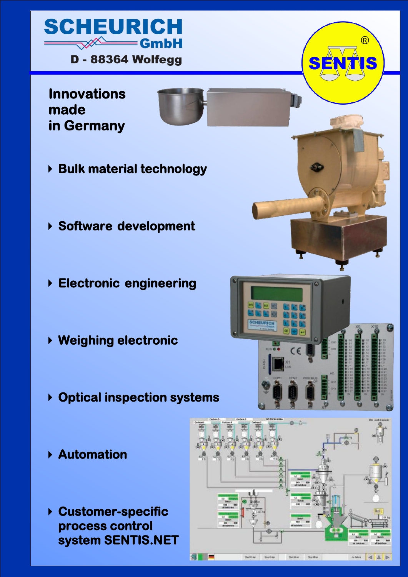

**Innovations made in Germany** 

- **Bulk material technology**
- **Software development**
- **Electronic engineering**
- **Weighing electronic**
- **Optical inspection systems**
- **Automation**
- **Customer-specific process control system SENTIS.NET**

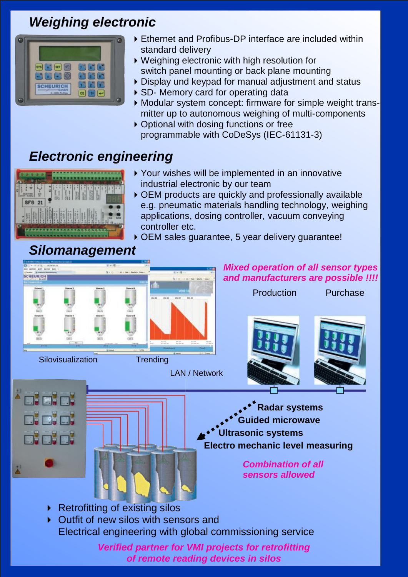## *Weighing electronic*



- Ethernet and Profibus-DP interface are included within standard delivery
- Weighing electronic with high resolution for switch panel mounting or back plane mounting
- Display und keypad for manual adjustment and status
- ▶ SD- Memory card for operating data
- Modular system concept: firmware for simple weight transmitter up to autonomous weighing of multi-components
- ▶ Optional with dosing functions or free programmable with CoDeSys (IEC-61131-3)

# *Electronic engineering*



- Your wishes will be implemented in an innovative industrial electronic by our team
- OEM products are quickly and professionally available e.g. pneumatic materials handling technology, weighing applications, dosing controller, vacuum conveying controller etc.
- OEM sales guarantee, 5 year delivery guarantee!

## *Silomanagement Mixed operation of all sensor types and manufacturers are possible !!!!* Production Purchase Silovisualization Trending LAN / Network **Fai Radar systems DHELL Guided microwave Ultrasonic systems E DE Electro mechanic level measuring** *Combination of all sensors allowed* ▶ Retrofitting of existing silos  $\triangleright$  Outfit of new silos with sensors and Electrical engineering with global commissioning service *Verified partner for VMI projects for retrofitting*

*of remote reading devices in silos*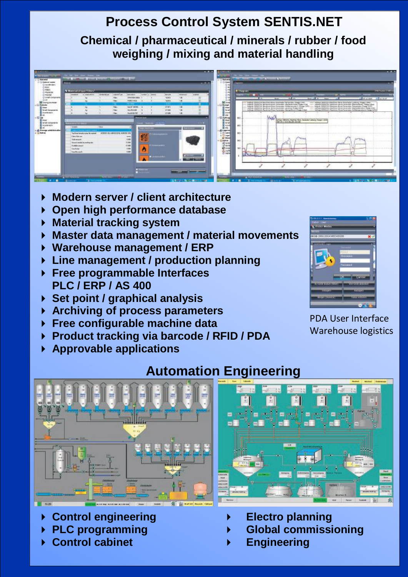#### **Process Control System SENTIS.NET Chemical / pharmaceutical / minerals / rubber / food weighing / mixing and material handling**



- **Modern server / client architecture**
- **Open high performance database**
- **Material tracking system**
- **Master data management / material movements**
- **Warehouse management / ERP**
- **Line management / production planning**
- **Free programmable Interfaces PLC / ERP / AS 400**
- **Set point / graphical analysis**
- **Archiving of process parameters**
- **Free configurable machine data**
- **Product tracking via barcode / RFID / PDA**
- **Approvable applications**



PDA User Interface Warehouse logistics



- **Control engineering**
- **PLC programming**
- **Control cabinet**

## **Automation Engineering**



- **Electro planning**
- **Global commissioning**
- **Engineering**